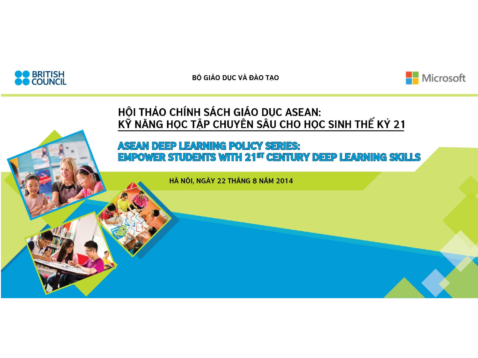



#### HỘI THẢO CHÍNH SÁCH GIÁO DỤC ASEAN: KÝ NĂNG HỌC TẬP CHUYÊN SÂU CHO HỌC SINH THẾ KÝ 21

#### **ASEAN DEEP LEARNING POLICY SERIES: EMPOWER STUDENTS WITH 21<sup>ST</sup> CENTURY DEEP LEARNING SKILLS**

HÀ NỘI, NGÀY 22 THÁNG 8 NĂM 2014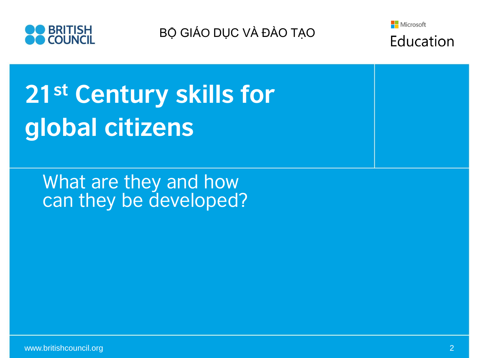



Education

# 21st Century skills for global citizens

What are they and how can they be developed?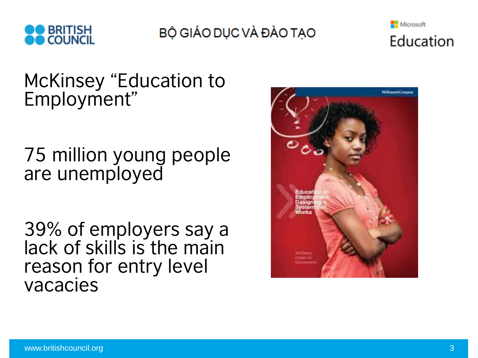



### McKinsey "Education to Employment"

## 75 million young people are unemployed

39% of employers say a lack of skills is the main reason for entry level vacacies

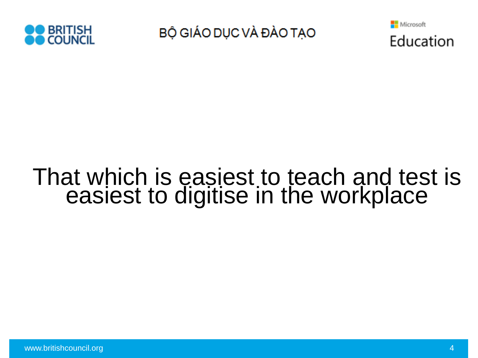



# That which is easiest to teach and test is easiest to digitise in the workplace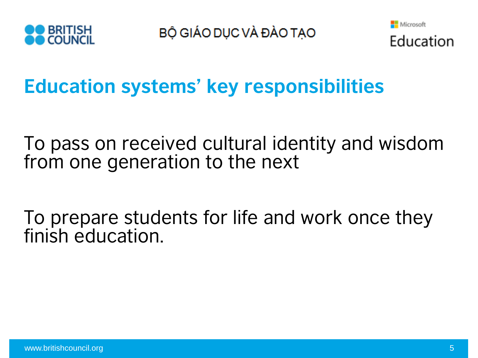



**Education systems' key responsibilities**

To pass on received cultural identity and wisdom from one generation to the next

To prepare students for life and work once they finish education.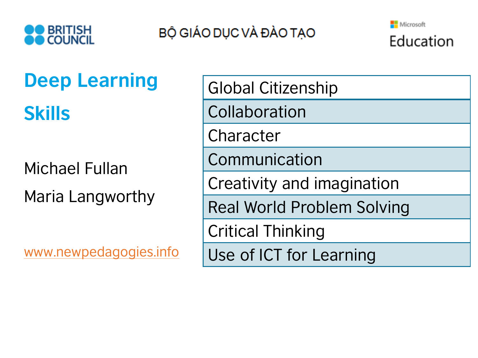



# **Deep Learning Skills**

Michael Fullan Maria Langworthy

[www.newpedagogies.info](http://www.newpedagogies.info/)

Global Citizenship **Collaboration** Character Communication Creativity and imagination Real World Problem Solving Critical Thinking Use of ICT for Learning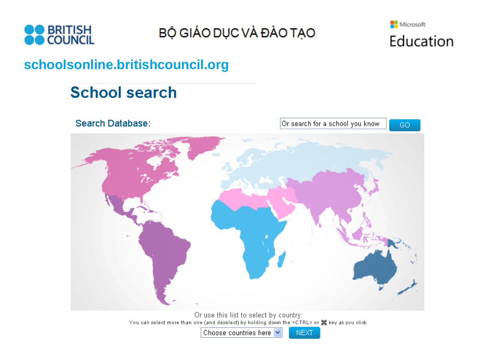



### schoolsonline.britishcouncil.org

### **School search**

Search Database: Or search for a school you know GO.

> Or use this list to select by country: You can select more than one (and deselect) by holding down the <CTRL> or  $\frac{40}{16}$  key as you click.

> > Choose countries here v

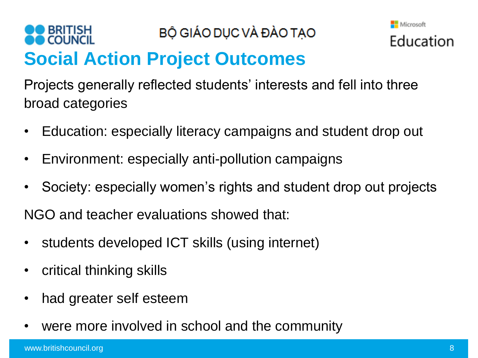#### **BRITISH** BỘ GIÁO DỤC VÀ ĐÀO TẠO **Social Action Project Outcomes**



- Education: especially literacy campaigns and student drop out
- Environment: especially anti-pollution campaigns
- Society: especially women's rights and student drop out projects

NGO and teacher evaluations showed that:

- students developed ICT skills (using internet)
- critical thinking skills
- had greater self esteem
- were more involved in school and the community

Microsoft

Education